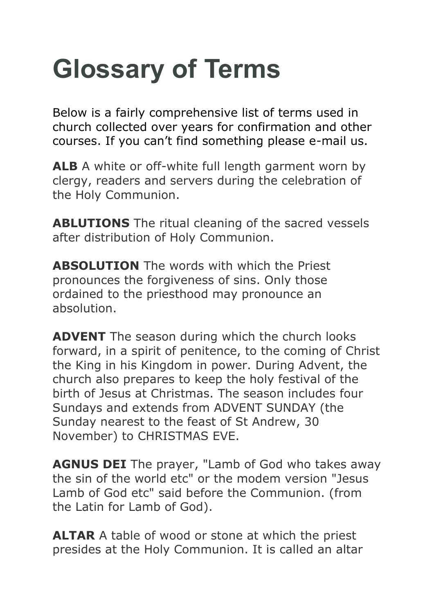## **Glossary of Terms**

Below is a fairly comprehensive list of terms used in church collected over years for confirmation and other courses. If you can't find something please e-mail us.

**ALB** A white or off-white full length garment worn by clergy, readers and servers during the celebration of the Holy Communion.

**ABLUTIONS** The ritual cleaning of the sacred vessels after distribution of Holy Communion.

**ABSOLUTION** The words with which the Priest pronounces the forgiveness of sins. Only those ordained to the priesthood may pronounce an absolution.

**ADVENT** The season during which the church looks forward, in a spirit of penitence, to the coming of Christ the King in his Kingdom in power. During Advent, the church also prepares to keep the holy festival of the birth of Jesus at Christmas. The season includes four Sundays and extends from ADVENT SUNDAY (the Sunday nearest to the feast of St Andrew, 30 November) to CHRISTMAS EVE.

**AGNUS DEI** The prayer, "Lamb of God who takes away the sin of the world etc" or the modem version "Jesus Lamb of God etc" said before the Communion. (from the Latin for Lamb of God).

**ALTAR** A table of wood or stone at which the priest presides at the Holy Communion. It is called an altar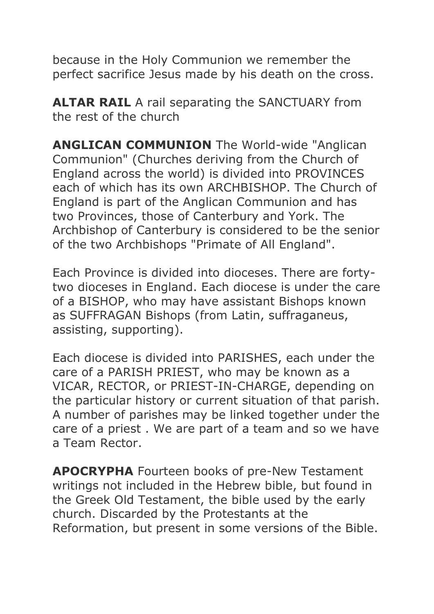because in the Holy Communion we remember the perfect sacrifice Jesus made by his death on the cross.

**ALTAR RAIL** A rail separating the SANCTUARY from the rest of the church

**ANGLICAN COMMUNION** The World-wide "Anglican Communion" (Churches deriving from the Church of England across the world) is divided into PROVINCES each of which has its own ARCHBISHOP. The Church of England is part of the Anglican Communion and has two Provinces, those of Canterbury and York. The Archbishop of Canterbury is considered to be the senior of the two Archbishops "Primate of All England".

Each Province is divided into dioceses. There are fortytwo dioceses in England. Each diocese is under the care of a BISHOP, who may have assistant Bishops known as SUFFRAGAN Bishops (from Latin, suffraganeus, assisting, supporting).

Each diocese is divided into PARISHES, each under the care of a PARISH PRIEST, who may be known as a VICAR, RECTOR, or PRIEST-IN-CHARGE, depending on the particular history or current situation of that parish. A number of parishes may be linked together under the care of a priest . We are part of a team and so we have a Team Rector.

**APOCRYPHA** Fourteen books of pre-New Testament writings not included in the Hebrew bible, but found in the Greek Old Testament, the bible used by the early church. Discarded by the Protestants at the Reformation, but present in some versions of the Bible.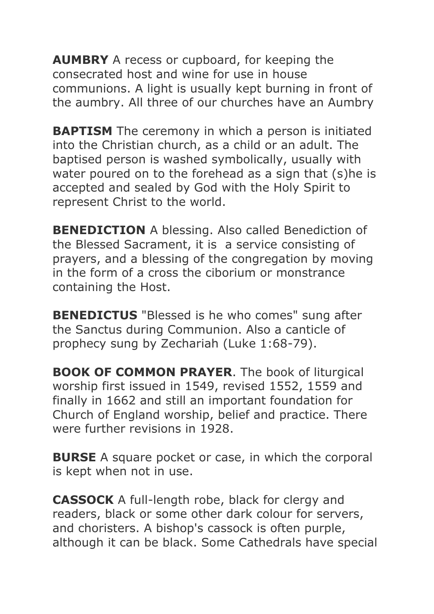**AUMBRY** A recess or cupboard, for keeping the consecrated host and wine for use in house communions. A light is usually kept burning in front of the aumbry. All three of our churches have an Aumbry

**BAPTISM** The ceremony in which a person is initiated into the Christian church, as a child or an adult. The baptised person is washed symbolically, usually with water poured on to the forehead as a sign that (s)he is accepted and sealed by God with the Holy Spirit to represent Christ to the world.

**BENEDICTION** A blessing. Also called Benediction of the Blessed Sacrament, it is a service consisting of prayers, and a blessing of the congregation by moving in the form of a cross the ciborium or monstrance containing the Host.

**BENEDICTUS** "Blessed is he who comes" sung after the Sanctus during Communion. Also a canticle of prophecy sung by Zechariah (Luke 1:68-79).

**BOOK OF COMMON PRAYER**. The book of liturgical worship first issued in 1549, revised 1552, 1559 and finally in 1662 and still an important foundation for Church of England worship, belief and practice. There were further revisions in 1928.

**BURSE** A square pocket or case, in which the corporal is kept when not in use.

**CASSOCK** A full-length robe, black for clergy and readers, black or some other dark colour for servers, and choristers. A bishop's cassock is often purple, although it can be black. Some Cathedrals have special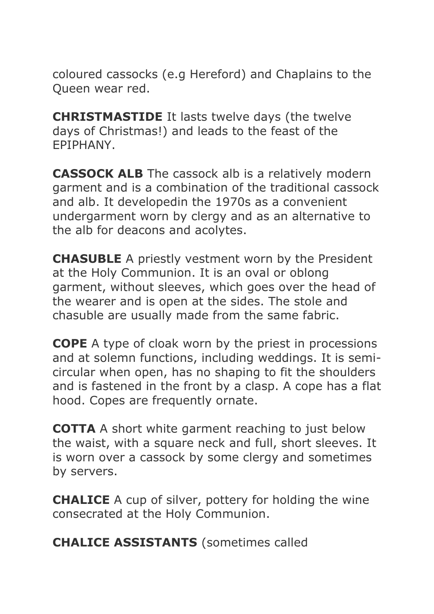coloured cassocks (e.g Hereford) and Chaplains to the Queen wear red.

**CHRISTMASTIDE** It lasts twelve days (the twelve days of Christmas!) and leads to the feast of the EPIPHANY.

**CASSOCK ALB** The cassock alb is a relatively modern garment and is a combination of the traditional cassock and alb. It developedin the 1970s as a convenient undergarment worn by clergy and as an alternative to the alb for deacons and acolytes.

**CHASUBLE** A priestly vestment worn by the President at the Holy Communion. It is an oval or oblong garment, without sleeves, which goes over the head of the wearer and is open at the sides. The stole and chasuble are usually made from the same fabric.

**COPE** A type of cloak worn by the priest in processions and at solemn functions, including weddings. It is semicircular when open, has no shaping to fit the shoulders and is fastened in the front by a clasp. A cope has a flat hood. Copes are frequently ornate.

**COTTA** A short white garment reaching to just below the waist, with a square neck and full, short sleeves. It is worn over a cassock by some clergy and sometimes by servers.

**CHALICE** A cup of silver, pottery for holding the wine consecrated at the Holy Communion.

**CHALICE ASSISTANTS** (sometimes called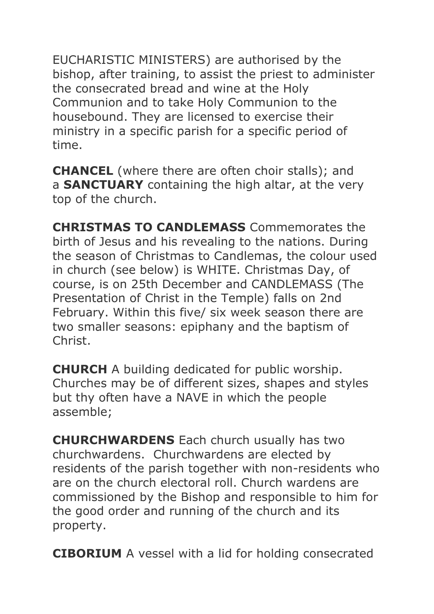EUCHARISTIC MINISTERS) are authorised by the bishop, after training, to assist the priest to administer the consecrated bread and wine at the Holy Communion and to take Holy Communion to the housebound. They are licensed to exercise their ministry in a specific parish for a specific period of time.

**CHANCEL** (where there are often choir stalls); and a **SANCTUARY** containing the high altar, at the very top of the church.

**CHRISTMAS TO CANDLEMASS** Commemorates the birth of Jesus and his revealing to the nations. During the season of Christmas to Candlemas, the colour used in church (see below) is WHITE. Christmas Day, of course, is on 25th December and CANDLEMASS (The Presentation of Christ in the Temple) falls on 2nd February. Within this five/ six week season there are two smaller seasons: epiphany and the baptism of Christ.

**CHURCH** A building dedicated for public worship. Churches may be of different sizes, shapes and styles but thy often have a NAVE in which the people assemble;

**CHURCHWARDENS** Each church usually has two churchwardens. Churchwardens are elected by residents of the parish together with non-residents who are on the church electoral roll. Church wardens are commissioned by the Bishop and responsible to him for the good order and running of the church and its property.

**CIBORIUM** A vessel with a lid for holding consecrated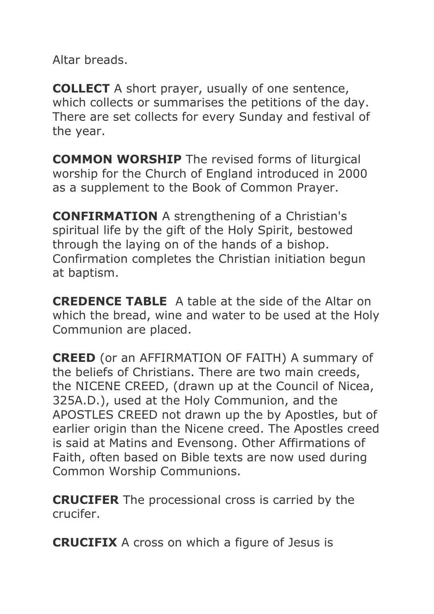Altar breads.

**COLLECT** A short prayer, usually of one sentence, which collects or summarises the petitions of the day. There are set collects for every Sunday and festival of the year.

**COMMON WORSHIP** The revised forms of liturgical worship for the Church of England introduced in 2000 as a supplement to the Book of Common Prayer.

**CONFIRMATION** A strengthening of a Christian's spiritual life by the gift of the Holy Spirit, bestowed through the laying on of the hands of a bishop. Confirmation completes the Christian initiation begun at baptism.

**CREDENCE TABLE** A table at the side of the Altar on which the bread, wine and water to be used at the Holy Communion are placed.

**CREED** (or an AFFIRMATION OF FAITH) A summary of the beliefs of Christians. There are two main creeds, the NICENE CREED, (drawn up at the Council of Nicea, 325A.D.), used at the Holy Communion, and the APOSTLES CREED not drawn up the by Apostles, but of earlier origin than the Nicene creed. The Apostles creed is said at Matins and Evensong. Other Affirmations of Faith, often based on Bible texts are now used during Common Worship Communions.

**CRUCIFER** The processional cross is carried by the crucifer.

**CRUCIFIX** A cross on which a figure of Jesus is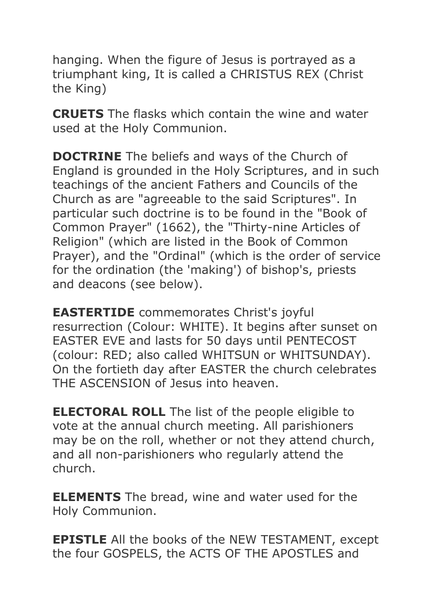hanging. When the figure of Jesus is portrayed as a triumphant king, It is called a CHRISTUS REX (Christ the King)

**CRUETS** The flasks which contain the wine and water used at the Holy Communion.

**DOCTRINE** The beliefs and ways of the Church of England is grounded in the Holy Scriptures, and in such teachings of the ancient Fathers and Councils of the Church as are "agreeable to the said Scriptures". In particular such doctrine is to be found in the "Book of Common Prayer" (1662), the "Thirty-nine Articles of Religion" (which are listed in the Book of Common Prayer), and the "Ordinal" (which is the order of service for the ordination (the 'making') of bishop's, priests and deacons (see below).

**EASTERTIDE** commemorates Christ's joyful resurrection (Colour: WHITE). It begins after sunset on EASTER EVE and lasts for 50 days until PENTECOST (colour: RED; also called WHITSUN or WHITSUNDAY). On the fortieth day after EASTER the church celebrates THE ASCENSION of Jesus into heaven.

**ELECTORAL ROLL** The list of the people eligible to vote at the annual church meeting. All parishioners may be on the roll, whether or not they attend church, and all non-parishioners who regularly attend the church.

**ELEMENTS** The bread, wine and water used for the Holy Communion.

**EPISTLE** All the books of the NEW TESTAMENT, except the four GOSPELS, the ACTS OF THE APOSTLES and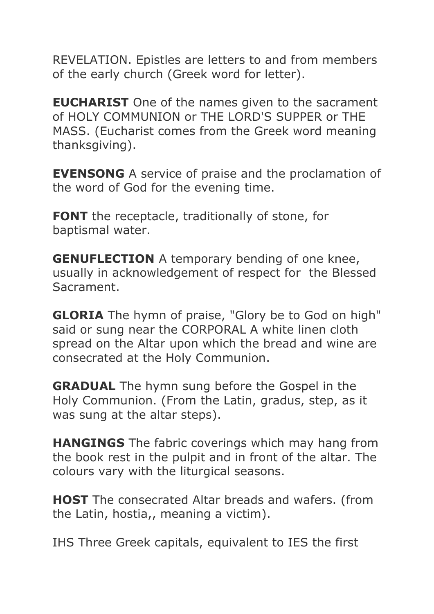REVELATION. Epistles are letters to and from members of the early church (Greek word for letter).

**EUCHARIST** One of the names given to the sacrament of HOLY COMMUNION or THE LORD'S SUPPER or THE MASS. (Eucharist comes from the Greek word meaning thanksgiving).

**EVENSONG** A service of praise and the proclamation of the word of God for the evening time.

**FONT** the receptacle, traditionally of stone, for baptismal water.

**GENUFLECTION** A temporary bending of one knee, usually in acknowledgement of respect for the Blessed Sacrament.

**GLORIA** The hymn of praise, "Glory be to God on high" said or sung near the CORPORAL A white linen cloth spread on the Altar upon which the bread and wine are consecrated at the Holy Communion.

**GRADUAL** The hymn sung before the Gospel in the Holy Communion. (From the Latin, gradus, step, as it was sung at the altar steps).

**HANGINGS** The fabric coverings which may hang from the book rest in the pulpit and in front of the altar. The colours vary with the liturgical seasons.

**HOST** The consecrated Altar breads and wafers. (from the Latin, hostia,, meaning a victim).

IHS Three Greek capitals, equivalent to IES the first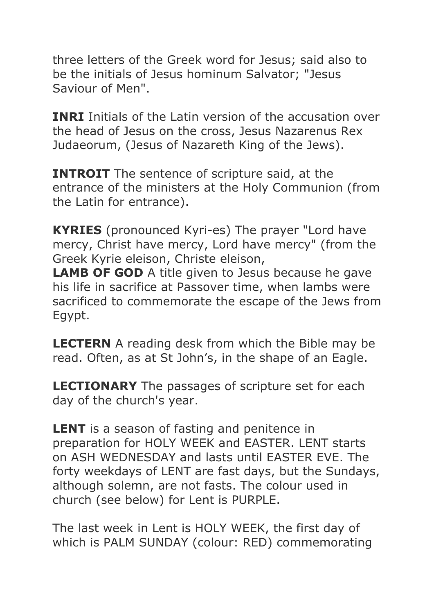three letters of the Greek word for Jesus; said also to be the initials of Jesus hominum Salvator; "Jesus Saviour of Men".

**INRI** Initials of the Latin version of the accusation over the head of Jesus on the cross, Jesus Nazarenus Rex Judaeorum, (Jesus of Nazareth King of the Jews).

**INTROIT** The sentence of scripture said, at the entrance of the ministers at the Holy Communion (from the Latin for entrance).

**KYRIES** (pronounced Kyri-es) The prayer "Lord have mercy, Christ have mercy, Lord have mercy" (from the Greek Kyrie eleison, Christe eleison,

**LAMB OF GOD** A title given to Jesus because he gave his life in sacrifice at Passover time, when lambs were sacrificed to commemorate the escape of the Jews from Egypt.

**LECTERN** A reading desk from which the Bible may be read. Often, as at St John's, in the shape of an Eagle.

**LECTIONARY** The passages of scripture set for each day of the church's year.

**LENT** is a season of fasting and penitence in preparation for HOLY WEEK and EASTER. LENT starts on ASH WEDNESDAY and lasts until EASTER EVE. The forty weekdays of LENT are fast days, but the Sundays, although solemn, are not fasts. The colour used in church (see below) for Lent is PURPLE.

The last week in Lent is HOLY WEEK, the first day of which is PALM SUNDAY (colour: RED) commemorating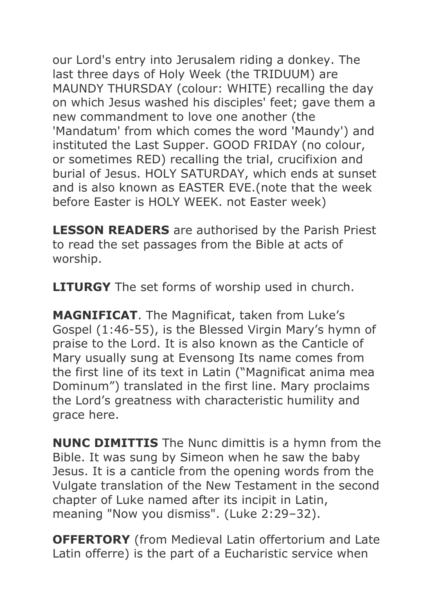our Lord's entry into Jerusalem riding a donkey. The last three days of Holy Week (the TRIDUUM) are MAUNDY THURSDAY (colour: WHITE) recalling the day on which Jesus washed his disciples' feet; gave them a new commandment to love one another (the 'Mandatum' from which comes the word 'Maundy') and instituted the Last Supper. GOOD FRIDAY (no colour, or sometimes RED) recalling the trial, crucifixion and burial of Jesus. HOLY SATURDAY, which ends at sunset and is also known as EASTER EVE.(note that the week before Easter is HOLY WEEK. not Easter week)

**LESSON READERS** are authorised by the Parish Priest to read the set passages from the Bible at acts of worship.

**LITURGY** The set forms of worship used in church.

**MAGNIFICAT**. The Magnificat, taken from Luke's Gospel (1:46-55), is the Blessed Virgin Mary's hymn of praise to the Lord. It is also known as the Canticle of Mary usually sung at Evensong Its name comes from the first line of its text in Latin ("Magnificat anima mea Dominum") translated in the first line. Mary proclaims the Lord's greatness with characteristic humility and grace here.

**NUNC DIMITTIS** The Nunc dimittis is a hymn from the Bible. It was sung by Simeon when he saw the baby Jesus. It is a canticle from the opening words from the Vulgate translation of the New Testament in the second chapter of Luke named after its incipit in Latin, meaning "Now you dismiss". (Luke 2:29–32).

**OFFERTORY** (from Medieval Latin offertorium and Late Latin offerre) is the part of a Eucharistic service when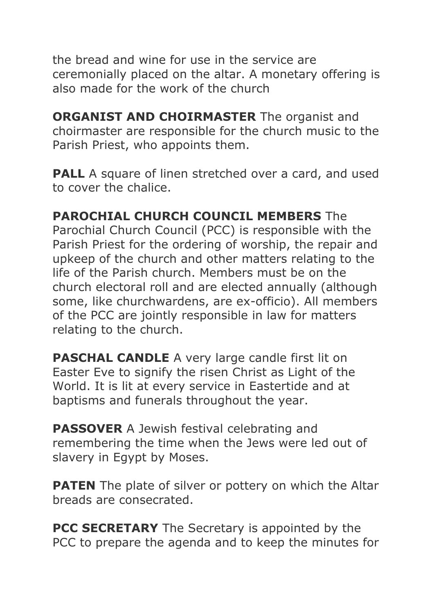the bread and wine for use in the service are ceremonially placed on the altar. A monetary offering is also made for the work of the church

**ORGANIST AND CHOIRMASTER** The organist and choirmaster are responsible for the church music to the Parish Priest, who appoints them.

**PALL** A square of linen stretched over a card, and used to cover the chalice.

## **PAROCHIAL CHURCH COUNCIL MEMBERS** The

Parochial Church Council (PCC) is responsible with the Parish Priest for the ordering of worship, the repair and upkeep of the church and other matters relating to the life of the Parish church. Members must be on the church electoral roll and are elected annually (although some, like churchwardens, are ex-officio). All members of the PCC are jointly responsible in law for matters relating to the church.

**PASCHAL CANDLE** A very large candle first lit on Easter Eve to signify the risen Christ as Light of the World. It is lit at every service in Eastertide and at baptisms and funerals throughout the year.

**PASSOVER** A Jewish festival celebrating and remembering the time when the Jews were led out of slavery in Egypt by Moses.

**PATEN** The plate of silver or pottery on which the Altar breads are consecrated.

**PCC SECRETARY** The Secretary is appointed by the PCC to prepare the agenda and to keep the minutes for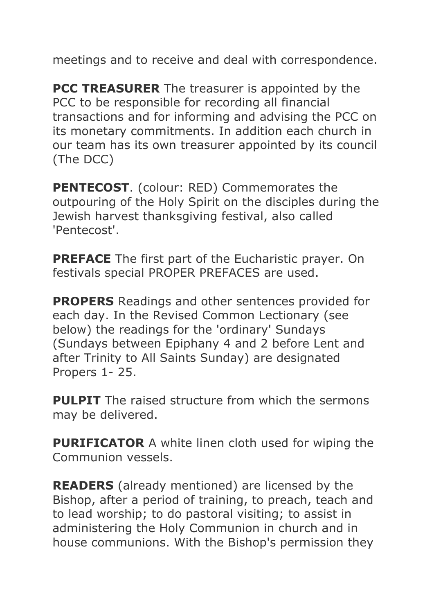meetings and to receive and deal with correspondence.

**PCC TREASURER** The treasurer is appointed by the PCC to be responsible for recording all financial transactions and for informing and advising the PCC on its monetary commitments. In addition each church in our team has its own treasurer appointed by its council (The DCC)

**PENTECOST.** (colour: RED) Commemorates the outpouring of the Holy Spirit on the disciples during the Jewish harvest thanksgiving festival, also called 'Pentecost'.

**PREFACE** The first part of the Eucharistic prayer. On festivals special PROPER PREFACES are used.

**PROPERS** Readings and other sentences provided for each day. In the Revised Common Lectionary (see below) the readings for the 'ordinary' Sundays (Sundays between Epiphany 4 and 2 before Lent and after Trinity to All Saints Sunday) are designated Propers 1- 25.

**PULPIT** The raised structure from which the sermons may be delivered.

**PURIFICATOR** A white linen cloth used for wiping the Communion vessels.

**READERS** (already mentioned) are licensed by the Bishop, after a period of training, to preach, teach and to lead worship; to do pastoral visiting; to assist in administering the Holy Communion in church and in house communions. With the Bishop's permission they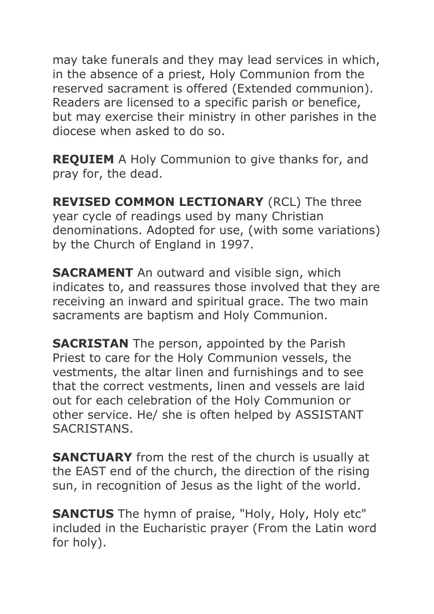may take funerals and they may lead services in which, in the absence of a priest, Holy Communion from the reserved sacrament is offered (Extended communion). Readers are licensed to a specific parish or benefice, but may exercise their ministry in other parishes in the diocese when asked to do so.

**REQUIEM** A Holy Communion to give thanks for, and pray for, the dead.

**REVISED COMMON LECTIONARY** (RCL) The three year cycle of readings used by many Christian denominations. Adopted for use, (with some variations) by the Church of England in 1997.

**SACRAMENT** An outward and visible sign, which indicates to, and reassures those involved that they are receiving an inward and spiritual grace. The two main sacraments are baptism and Holy Communion.

**SACRISTAN** The person, appointed by the Parish Priest to care for the Holy Communion vessels, the vestments, the altar linen and furnishings and to see that the correct vestments, linen and vessels are laid out for each celebration of the Holy Communion or other service. He/ she is often helped by ASSISTANT SACRISTANS.

**SANCTUARY** from the rest of the church is usually at the EAST end of the church, the direction of the rising sun, in recognition of Jesus as the light of the world.

**SANCTUS** The hymn of praise, "Holy, Holy, Holy etc" included in the Eucharistic prayer (From the Latin word for holy).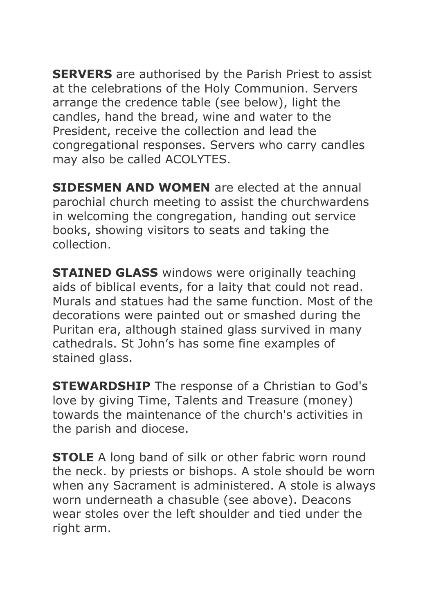**SERVERS** are authorised by the Parish Priest to assist at the celebrations of the Holy Communion. Servers arrange the credence table (see below), light the candles, hand the bread, wine and water to the President, receive the collection and lead the congregational responses. Servers who carry candles may also be called ACOLYTES.

**SIDESMEN AND WOMEN** are elected at the annual parochial church meeting to assist the churchwardens in welcoming the congregation, handing out service books, showing visitors to seats and taking the collection.

**STAINED GLASS** windows were originally teaching aids of biblical events, for a laity that could not read. Murals and statues had the same function. Most of the decorations were painted out or smashed during the Puritan era, although stained glass survived in many cathedrals. St John's has some fine examples of stained glass.

**STEWARDSHIP** The response of a Christian to God's love by giving Time, Talents and Treasure (money) towards the maintenance of the church's activities in the parish and diocese.

**STOLE** A long band of silk or other fabric worn round the neck. by priests or bishops. A stole should be worn when any Sacrament is administered. A stole is always worn underneath a chasuble (see above). Deacons wear stoles over the left shoulder and tied under the right arm.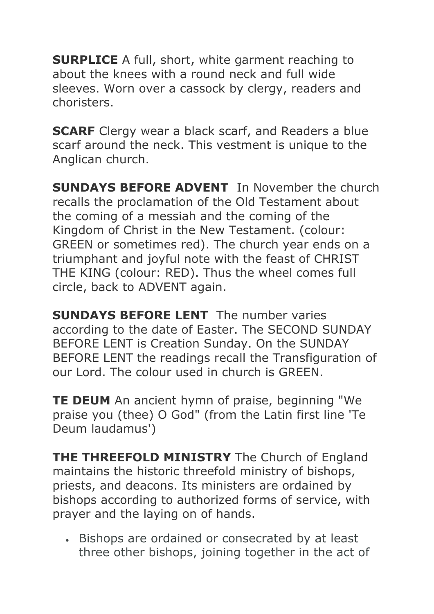**SURPLICE** A full, short, white garment reaching to about the knees with a round neck and full wide sleeves. Worn over a cassock by clergy, readers and choristers.

**SCARF** Clergy wear a black scarf, and Readers a blue scarf around the neck. This vestment is unique to the Anglican church.

**SUNDAYS BEFORE ADVENT** In November the church recalls the proclamation of the Old Testament about the coming of a messiah and the coming of the Kingdom of Christ in the New Testament. (colour: GREEN or sometimes red). The church year ends on a triumphant and joyful note with the feast of CHRIST THE KING (colour: RED). Thus the wheel comes full circle, back to ADVENT again.

**SUNDAYS BEFORE LENT** The number varies according to the date of Easter. The SECOND SUNDAY BEFORE LENT is Creation Sunday. On the SUNDAY BEFORE LENT the readings recall the Transfiguration of our Lord. The colour used in church is GREEN.

**TE DEUM** An ancient hymn of praise, beginning "We praise you (thee) O God" (from the Latin first line 'Te Deum laudamus')

**THE THREEFOLD MINISTRY** The Church of England maintains the historic threefold ministry of bishops, priests, and deacons. Its ministers are ordained by bishops according to authorized forms of service, with prayer and the laying on of hands.

 Bishops are ordained or consecrated by at least three other bishops, joining together in the act of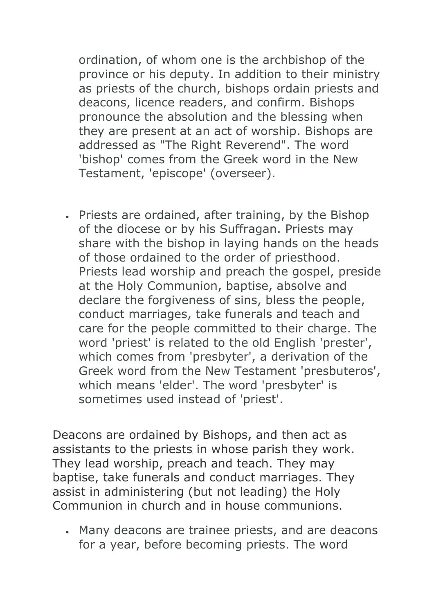ordination, of whom one is the archbishop of the province or his deputy. In addition to their ministry as priests of the church, bishops ordain priests and deacons, licence readers, and confirm. Bishops pronounce the absolution and the blessing when they are present at an act of worship. Bishops are addressed as "The Right Reverend". The word 'bishop' comes from the Greek word in the New Testament, 'episcope' (overseer).

 Priests are ordained, after training, by the Bishop of the diocese or by his Suffragan. Priests may share with the bishop in laying hands on the heads of those ordained to the order of priesthood. Priests lead worship and preach the gospel, preside at the Holy Communion, baptise, absolve and declare the forgiveness of sins, bless the people, conduct marriages, take funerals and teach and care for the people committed to their charge. The word 'priest' is related to the old English 'prester', which comes from 'presbyter', a derivation of the Greek word from the New Testament 'presbuteros', which means 'elder'. The word 'presbyter' is sometimes used instead of 'priest'.

Deacons are ordained by Bishops, and then act as assistants to the priests in whose parish they work. They lead worship, preach and teach. They may baptise, take funerals and conduct marriages. They assist in administering (but not leading) the Holy Communion in church and in house communions.

 Many deacons are trainee priests, and are deacons for a year, before becoming priests. The word